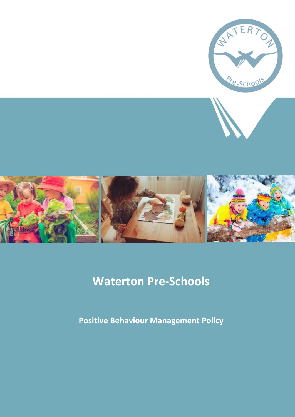





# **Waterton Pre-Schools**

**Positive Behaviour Management Policy**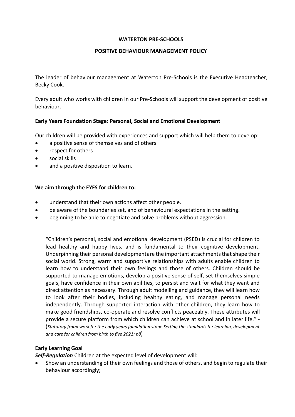#### **WATERTON PRE-SCHOOLS**

#### **POSITIVE BEHAVIOUR MANAGEMENT POLICY**

The leader of behaviour management at Waterton Pre-Schools is the Executive Headteacher, Becky Cook.

Every adult who works with children in our Pre-Schools will support the development of positive behaviour.

## **Early Years Foundation Stage: Personal, Social and Emotional Development**

Our children will be provided with experiences and support which will help them to develop:

- a positive sense of themselves and of others
- respect for others
- social skills
- and a positive disposition to learn.

## **We aim through the EYFS for children to:**

- understand that their own actions affect other people.
- be aware of the boundaries set, and of behavioural expectations in the setting.
- beginning to be able to negotiate and solve problems without aggression.

"Children's personal, social and emotional development (PSED) is crucial for children to lead healthy and happy lives, and is fundamental to their cognitive development. Underpinning their personal developmentare the important attachments that shape their social world. Strong, warm and supportive relationships with adults enable children to learn how to understand their own feelings and those of others. Children should be supported to manage emotions, develop a positive sense of self, set themselves simple goals, have confidence in their own abilities, to persist and wait for what they want and direct attention as necessary. Through adult modelling and guidance, they will learn how to look after their bodies, including healthy eating, and manage personal needs independently. Through supported interaction with other children, they learn how to make good friendships, co-operate and resolve conflicts peaceably. These attributes will provide a secure platform from which children can achieve at school and in later life." - (*Statutory framework for the early years foundation stage Setting the standards for learning, development and care for children from birth to five 2021: p8*)

## **Early Learning Goal**

*Self-Regulation* Children at the expected level of development will:

• Show an understanding of their own feelings and those of others, and begin to regulate their behaviour accordingly;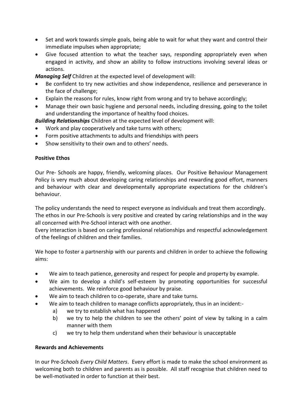- Set and work towards simple goals, being able to wait for what they want and control their immediate impulses when appropriate;
- Give focused attention to what the teacher says, responding appropriately even when engaged in activity, and show an ability to follow instructions involving several ideas or actions.

*Managing Self* Children at the expected level of development will:

- Be confident to try new activities and show independence, resilience and perseverance in the face of challenge;
- Explain the reasons for rules, know right from wrong and try to behave accordingly;
- Manage their own basic hygiene and personal needs, including dressing, going to the toilet and understanding the importance of healthy food choices.

*Building Relationships* Children at the expected level of development will:

- Work and play cooperatively and take turns with others;
- Form positive attachments to adults and friendships with peers
- Show sensitivity to their own and to others' needs.

## **Positive Ethos**

Our Pre- Schools are happy, friendly, welcoming places. Our Positive Behaviour Management Policy is very much about developing caring relationships and rewarding good effort, manners and behaviour with clear and developmentally appropriate expectations for the children's behaviour.

The policy understands the need to respect everyone as individuals and treat them accordingly. The ethos in our Pre-Schools is very positive and created by caring relationships and in the way all concerned with Pre-School interact with one another.

Every interaction is based on caring professional relationships and respectful acknowledgement of the feelings of children and their families.

We hope to foster a partnership with our parents and children in order to achieve the following aims:

- We aim to teach patience, generosity and respect for people and property by example.
- We aim to develop a child's self-esteem by promoting opportunities for successful achievements. We reinforce good behaviour by praise.
- We aim to teach children to co-operate, share and take turns.
- We aim to teach children to manage conflicts appropriately, thus in an incident:
	- a) we try to establish what has happened
	- b) we try to help the children to see the others' point of view by talking in a calm manner with them
	- c) we try to help them understand when their behaviour is unacceptable

## **Rewards and Achievements**

In our Pre*-Schools Every Child Matters*. Every effort is made to make the school environment as welcoming both to children and parents as is possible. All staff recognise that children need to be well-motivated in order to function at their best.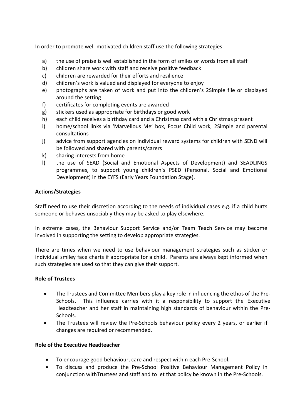In order to promote well-motivated children staff use the following strategies:

- a) the use of praise is well established in the form of smiles or words from all staff
- b) children share work with staff and receive positive feedback
- c) children are rewarded for their efforts and resilience
- d) children's work is valued and displayed for everyone to enjoy
- e) photographs are taken of work and put into the children's 2Simple file or displayed around the setting
- f) certificates for completing events are awarded
- g) stickers used as appropriate for birthdays or good work
- h) each child receives a birthday card and a Christmas card with a Christmas present
- i) home/school links via 'Marvellous Me' box, Focus Child work, 2Simple and parental consultations
- j) advice from support agencies on individual reward systems for children with SEND will be followed and shared with parents/carers
- k) sharing interests from home
- l) the use of SEAD (Social and Emotional Aspects of Development) and SEADLINGS programmes, to support young children's PSED (Personal, Social and Emotional Development) in the EYFS (Early Years Foundation Stage).

# **Actions/Strategies**

Staff need to use their discretion according to the needs of individual cases e.g. if a child hurts someone or behaves unsociably they may be asked to play elsewhere.

In extreme cases, the Behaviour Support Service and/or Team Teach Service may become involved in supporting the setting to develop appropriate strategies.

There are times when we need to use behaviour management strategies such as sticker or individual smiley face charts if appropriate for a child. Parents are always kept informed when such strategies are used so that they can give their support.

# **Role of Trustees**

- The Trustees and Committee Members play a key role in influencing the ethos of the Pre-Schools. This influence carries with it a responsibility to support the Executive Headteacher and her staff in maintaining high standards of behaviour within the Pre-Schools.
- The Trustees will review the Pre-Schools behaviour policy every 2 years, or earlier if changes are required or recommended.

# **Role of the Executive Headteacher**

- To encourage good behaviour, care and respect within each Pre-School.
- To discuss and produce the Pre-School Positive Behaviour Management Policy in conjunction withTrustees and staff and to let that policy be known in the Pre-Schools.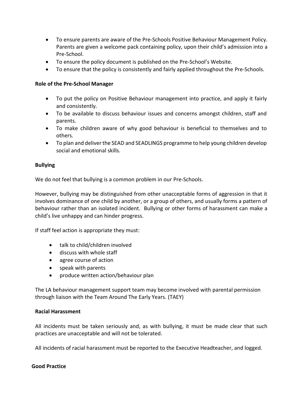- To ensure parents are aware of the Pre-Schools Positive Behaviour Management Policy. Parents are given a welcome pack containing policy, upon their child's admission into a Pre-School.
- To ensure the policy document is published on the Pre-School's Website.
- To ensure that the policy is consistently and fairly applied throughout the Pre-Schools.

## **Role of the Pre-School Manager**

- To put the policy on Positive Behaviour management into practice, and apply it fairly and consistently.
- To be available to discuss behaviour issues and concerns amongst children, staff and parents.
- To make children aware of why good behaviour is beneficial to themselves and to others.
- To plan and deliver the SEAD and SEADLINGS programme to help young children develop social and emotional skills.

## **Bullying**

We do not feel that bullying is a common problem in our Pre-Schools.

However, bullying may be distinguished from other unacceptable forms of aggression in that it involves dominance of one child by another, or a group of others, and usually forms a pattern of behaviour rather than an isolated incident. Bullying or other forms of harassment can make a child's live unhappy and can hinder progress.

If staff feel action is appropriate they must:

- talk to child/children involved
- discuss with whole staff
- agree course of action
- speak with parents
- produce written action/behaviour plan

The LA behaviour management support team may become involved with parental permission through liaison with the Team Around The Early Years. (TAEY)

## **Racial Harassment**

All incidents must be taken seriously and, as with bullying, it must be made clear that such practices are unacceptable and will not be tolerated.

All incidents of racial harassment must be reported to the Executive Headteacher, and logged.

## **Good Practice**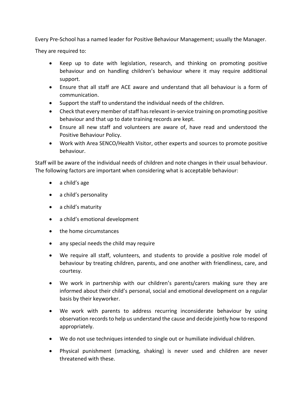Every Pre-School has a named leader for Positive Behaviour Management; usually the Manager.

They are required to:

- Keep up to date with legislation, research, and thinking on promoting positive behaviour and on handling children's behaviour where it may require additional support.
- Ensure that all staff are ACE aware and understand that all behaviour is a form of communication.
- Support the staff to understand the individual needs of the children.
- Check that every member of staff has relevant in-service training on promoting positive behaviour and that up to date training records are kept.
- Ensure all new staff and volunteers are aware of, have read and understood the Positive Behaviour Policy.
- Work with Area SENCO/Health Visitor, other experts and sources to promote positive behaviour.

Staff will be aware of the individual needs of children and note changes in their usual behaviour. The following factors are important when considering what is acceptable behaviour:

- a child's age
- a child's personality
- a child's maturity
- a child's emotional development
- the home circumstances
- any special needs the child may require
- We require all staff, volunteers, and students to provide a positive role model of behaviour by treating children, parents, and one another with friendliness, care, and courtesy.
- We work in partnership with our children's parents/carers making sure they are informed about their child's personal, social and emotional development on a regular basis by their keyworker.
- We work with parents to address recurring inconsiderate behaviour by using observation records to help us understand the cause and decide jointly how to respond appropriately.
- We do not use techniques intended to single out or humiliate individual children.
- Physical punishment (smacking, shaking) is never used and children are never threatened with these.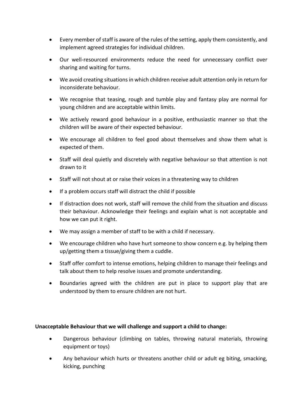- Every member of staff is aware of the rules of the setting, apply them consistently, and implement agreed strategies for individual children.
- Our well-resourced environments reduce the need for unnecessary conflict over sharing and waiting for turns.
- We avoid creating situations in which children receive adult attention only in return for inconsiderate behaviour.
- We recognise that teasing, rough and tumble play and fantasy play are normal for young children and are acceptable within limits.
- We actively reward good behaviour in a positive, enthusiastic manner so that the children will be aware of their expected behaviour.
- We encourage all children to feel good about themselves and show them what is expected of them.
- Staff will deal quietly and discretely with negative behaviour so that attention is not drawn to it
- Staff will not shout at or raise their voices in a threatening way to children
- If a problem occurs staff will distract the child if possible
- If distraction does not work, staff will remove the child from the situation and discuss their behaviour. Acknowledge their feelings and explain what is not acceptable and how we can put it right.
- We may assign a member of staff to be with a child if necessary.
- We encourage children who have hurt someone to show concern e.g. by helping them up/getting them a tissue/giving them a cuddle.
- Staff offer comfort to intense emotions, helping children to manage their feelings and talk about them to help resolve issues and promote understanding.
- Boundaries agreed with the children are put in place to support play that are understood by them to ensure children are not hurt.

# **Unacceptable Behaviour that we will challenge and support a child to change:**

- Dangerous behaviour (climbing on tables, throwing natural materials, throwing equipment or toys)
- Any behaviour which hurts or threatens another child or adult eg biting, smacking, kicking, punching